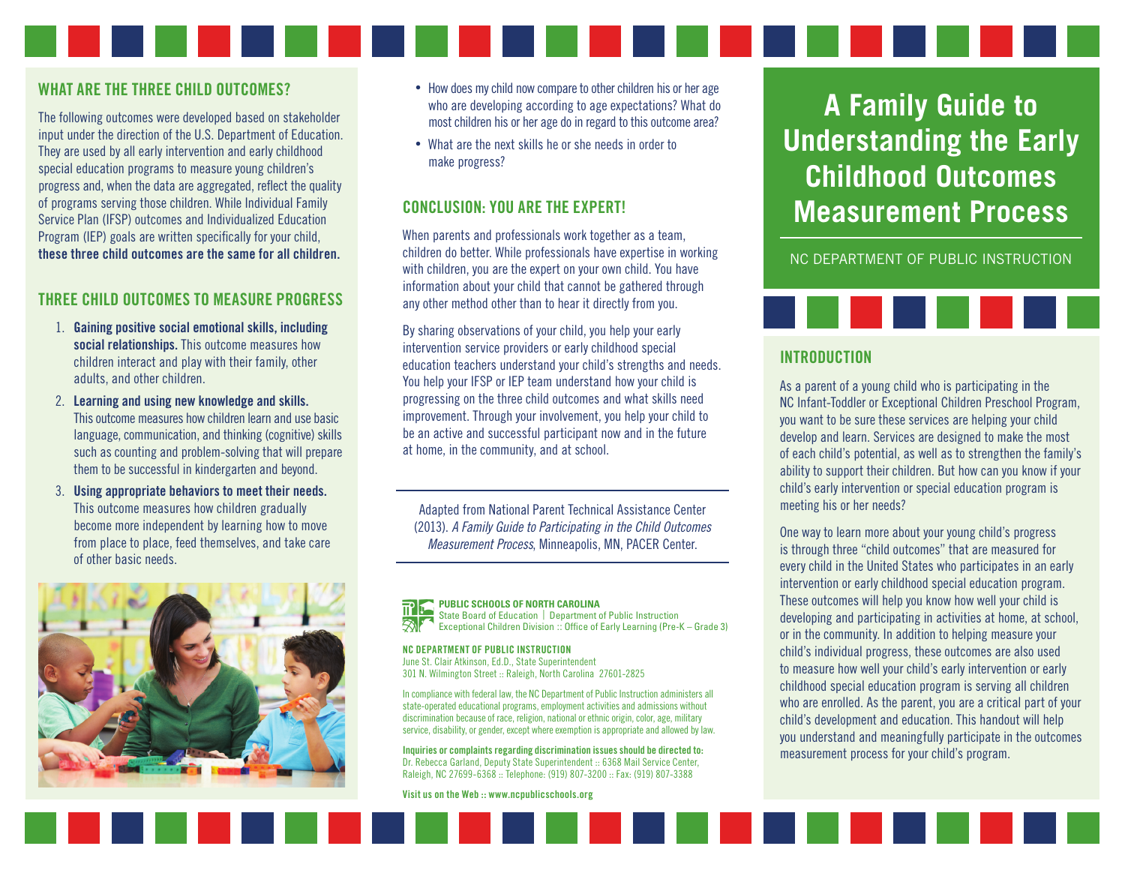#### WHAT ARE THE THREE CHILD OUTCOMES?

The following outcomes were developed based on stakeholder input under the direction of the U.S. Department of Education. They are used by all early intervention and early childhood special education programs to measure young children's progress and, when the data are aggregated, reflect the quality of programs serving those children. While Individual Family Service Plan (IFSP) outcomes and Individualized Education Program (IEP) goals are written specifically for your child, these three child outcomes are the same for all children.

#### THREE CHILD OUTCOMES TO MEASURE PROGRESS

- 1. Gaining positive social emotional skills, including social relationships. This outcome measures how children interact and play with their family, other adults, and other children.
- 2. Learning and using new knowledge and skills. This outcome measures how children learn and use basic language, communication, and thinking (cognitive) skills such as counting and problem-solving that will prepare them to be successful in kindergarten and beyond.
- 3. Using appropriate behaviors to meet their needs. This outcome measures how children gradually become more independent by learning how to move from place to place, feed themselves, and take care of other basic needs.



- How does my child now compare to other children his or her age who are developing according to age expectations? What do most children his or her age do in regard to this outcome area?
- What are the next skills he or she needs in order to make progress?

#### CONCLUSION: YOU ARE THE EXPERT!

When parents and professionals work together as a team, children do better. While professionals have expertise in working with children, you are the expert on your own child. You have information about your child that cannot be gathered through any other method other than to hear it directly from you.

By sharing observations of your child, you help your early intervention service providers or early childhood special education teachers understand your child's strengths and needs. You help your IFSP or IEP team understand how your child is progressing on the three child outcomes and what skills need improvement. Through your involvement, you help your child to be an active and successful participant now and in the future at home, in the community, and at school.

Adapted from National Parent Technical Assistance Center (2013). *A Family Guide to Participating in the Child Outcomes Measurement Process*, Minneapolis, MN, PACER Center.

# **PUBLIC SCHOOLS OF NORTH CAROLINA**

State Board of Education | Department of Public Instruction Exceptional Children Division :: Office of Early Learning (Pre-K – Grade 3)

#### NC DEPARTMENT OF PUBLIC INSTRUCTION

June St. Clair Atkinson, Ed.D., State Superintendent 301 N. Wilmington Street :: Raleigh, North Carolina 27601-2825

In compliance with federal law, the NC Department of Public Instruction administers all state-operated educational programs, employment activities and admissions without discrimination because of race, religion, national or ethnic origin, color, age, military service, disability, or gender, except where exemption is appropriate and allowed by law.

Inquiries or complaints regarding discrimination issues should be directed to: Dr. Rebecca Garland, Deputy State Superintendent :: 6368 Mail Service Center, Raleigh, NC 27699-6368 :: Telephone: (919) 807-3200 :: Fax: (919) 807-3388

Visit us on the Web :: www.ncpublicschools.org

# **A Family Guide to Understanding the Early Childhood Outcomes Measurement Process**

NC DEPARTMENT OF PUBLIC INSTRUCTION



#### INTRODUCTION

As a parent of a young child who is participating in the NC Infant-Toddler or Exceptional Children Preschool Program, you want to be sure these services are helping your child develop and learn. Services are designed to make the most of each child's potential, as well as to strengthen the family's ability to support their children. But how can you know if your child's early intervention or special education program is meeting his or her needs?

One way to learn more about your young child's progress is through three "child outcomes" that are measured for every child in the United States who participates in an early intervention or early childhood special education program. These outcomes will help you know how well your child is developing and participating in activities at home, at school, or in the community. In addition to helping measure your child's individual progress, these outcomes are also used to measure how well your child's early intervention or early childhood special education program is serving all children who are enrolled. As the parent, you are a critical part of your child's development and education. This handout will help you understand and meaningfully participate in the outcomes measurement process for your child's program.